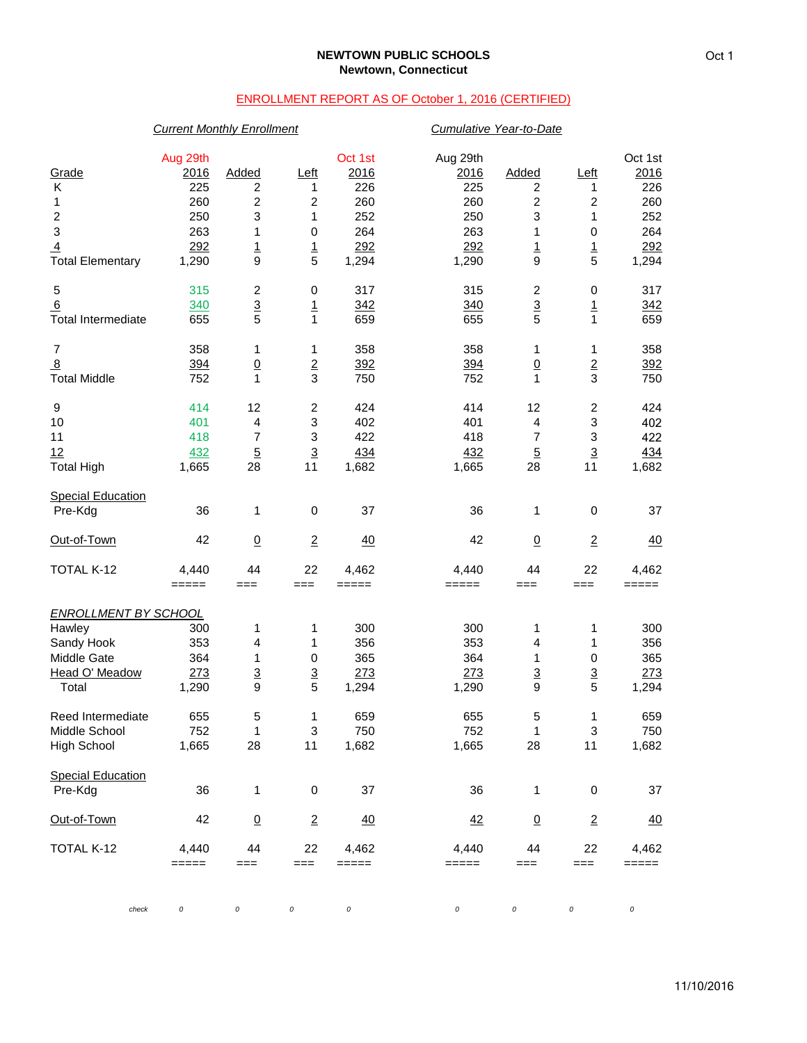#### **NEWTOWN PUBLIC SCHOOLS Newtown, Connecticut**

# ENROLLMENT REPORT AS OF October 1, 2016 (CERTIFIED)

# *Current Monthly Enrollment Cumulative Year-to-Date* Aug 29th Oct 1st Aug 29th Oct 1st Grade 2016 Added Left 2016 2016 Added Left 2016 K 225 2 1 226 225 2 1 226 1 260 2 2 260 260 2 260 2 260 2 250 3 1 252 250 3 1 252 3 263 1 0 264 263 1 0 264 <u>4</u> <u>292</u> <u>1</u> <u>1 292</u> <u>292</u> <u>1 1 292</u> Total Elementary 1,290 9 5 1,294 1,290 9 5 1,294 5 315 2 0 317 315 2 0 317 <u>6</u> 340 31 1 342 340 <u>3</u> <u>1</u> 342 Total Intermediate 655 5 1 659 655 5 1 659 7 358 1 1 358 358 1 1 358 8 394 0 2 392 394 0 2 392 Total Middle 752 1 3 750 752 1 3 750 9 414 12 2 424 414 12 2 424 10 401 4 3 402 401 4 3 402 11 418 7 3 422 418 7 3 422 <u>12 3 432 5 3 434 432 5 3 434</u> Total High 1,665 28 11 1,682 1,665 28 11 1,682 **Special Education** Pre-Kdg 36 1 0 37 36 1 0 37 Out-of-Town 42 0 2 40 42 0 2 40 TOTAL K-12 4,440 44 22 4,462 4,440 44 22 4,462 ===== === === ===== ===== === === ===== *ENROLLMENT BY SCHOOL* Hawley 300 1 1 300 300 1 1 300 Sandy Hook 353 4 1 356 353 4 1 356 Middle Gate 364 1 0 365 364 1 0 365 Head O' Meadow 273 3 3 273 273 3 3 273 Total 1,290 9 5 1,294 1,290 9 5 1,294 Reed Intermediate  $\begin{array}{cccccccc} 655 & 5 & 1 & 659 & 655 & 5 & 1 & 659 \\ 1 & 3 & 750 & 752 & 1 & 3 & 750 \end{array}$ Middle School 752 1 3 750 752 1 3 750 High School 1,665 28 11 1,682 1,665 28 11 1,682 Special Education<br>Pre-Kdg Pre-Kdg 36 1 0 37 36 1 0 37 Out-of-Town 42 0 2 40 42 0 2 40 TOTAL K-12 4,440 44 22 4,462 4,440 44 22 4,462 ===== === === ===== ===== === === =====

*check 0 0 0 0 0 0 0 0*